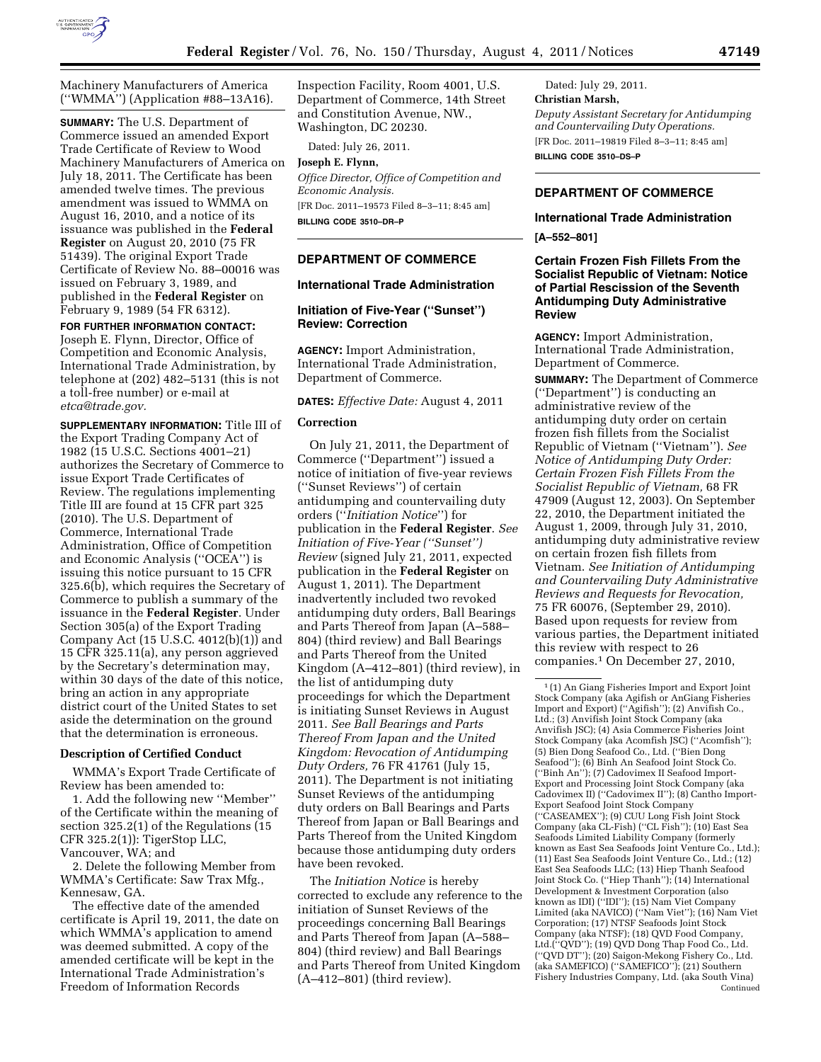

Machinery Manufacturers of America (''WMMA'') (Application #88–13A16).

**SUMMARY:** The U.S. Department of Commerce issued an amended Export Trade Certificate of Review to Wood Machinery Manufacturers of America on July 18, 2011. The Certificate has been amended twelve times. The previous amendment was issued to WMMA on August 16, 2010, and a notice of its issuance was published in the **Federal Register** on August 20, 2010 (75 FR 51439). The original Export Trade Certificate of Review No. 88–00016 was issued on February 3, 1989, and published in the **Federal Register** on February 9, 1989 (54 FR 6312).

**FOR FURTHER INFORMATION CONTACT:**  Joseph E. Flynn, Director, Office of Competition and Economic Analysis, International Trade Administration, by telephone at (202) 482–5131 (this is not a toll-free number) or e-mail at *[etca@trade.gov.](mailto:etca@trade.gov)* 

**SUPPLEMENTARY INFORMATION:** Title III of the Export Trading Company Act of 1982 (15 U.S.C. Sections 4001–21) authorizes the Secretary of Commerce to issue Export Trade Certificates of Review. The regulations implementing Title III are found at 15 CFR part 325 (2010). The U.S. Department of Commerce, International Trade Administration, Office of Competition and Economic Analysis (''OCEA'') is issuing this notice pursuant to 15 CFR 325.6(b), which requires the Secretary of Commerce to publish a summary of the issuance in the **Federal Register**. Under Section 305(a) of the Export Trading Company Act (15 U.S.C. 4012(b)(1)) and 15 CFR 325.11(a), any person aggrieved by the Secretary's determination may, within 30 days of the date of this notice, bring an action in any appropriate district court of the United States to set aside the determination on the ground that the determination is erroneous.

### **Description of Certified Conduct**

WMMA's Export Trade Certificate of Review has been amended to:

1. Add the following new ''Member'' of the Certificate within the meaning of section 325.2(1) of the Regulations (15 CFR 325.2(1)): TigerStop LLC, Vancouver, WA; and

2. Delete the following Member from WMMA's Certificate: Saw Trax Mfg., Kennesaw, GA.

The effective date of the amended certificate is April 19, 2011, the date on which WMMA's application to amend was deemed submitted. A copy of the amended certificate will be kept in the International Trade Administration's Freedom of Information Records

Inspection Facility, Room 4001, U.S. Department of Commerce, 14th Street and Constitution Avenue, NW., Washington, DC 20230.

Dated: July 26, 2011.

# **Joseph E. Flynn,**

*Office Director, Office of Competition and Economic Analysis.* 

[FR Doc. 2011–19573 Filed 8–3–11; 8:45 am] **BILLING CODE 3510–DR–P** 

# **DEPARTMENT OF COMMERCE**

# **International Trade Administration**

# **Initiation of Five-Year (''Sunset'') Review: Correction**

**AGENCY:** Import Administration, International Trade Administration, Department of Commerce.

**DATES:** *Effective Date:* August 4, 2011

#### **Correction**

On July 21, 2011, the Department of Commerce (''Department'') issued a notice of initiation of five-year reviews (''Sunset Reviews'') of certain antidumping and countervailing duty orders (''*Initiation Notice*'') for publication in the **Federal Register**. *See Initiation of Five-Year (''Sunset'') Review* (signed July 21, 2011, expected publication in the **Federal Register** on August 1, 2011). The Department inadvertently included two revoked antidumping duty orders, Ball Bearings and Parts Thereof from Japan (A–588– 804) (third review) and Ball Bearings and Parts Thereof from the United Kingdom (A–412–801) (third review), in the list of antidumping duty proceedings for which the Department is initiating Sunset Reviews in August 2011. *See Ball Bearings and Parts Thereof From Japan and the United Kingdom: Revocation of Antidumping Duty Orders,* 76 FR 41761 (July 15, 2011). The Department is not initiating Sunset Reviews of the antidumping duty orders on Ball Bearings and Parts Thereof from Japan or Ball Bearings and Parts Thereof from the United Kingdom because those antidumping duty orders have been revoked.

The *Initiation Notice* is hereby corrected to exclude any reference to the initiation of Sunset Reviews of the proceedings concerning Ball Bearings and Parts Thereof from Japan (A–588– 804) (third review) and Ball Bearings and Parts Thereof from United Kingdom (A–412–801) (third review).

Dated: July 29, 2011. **Christian Marsh,**  *Deputy Assistant Secretary for Antidumping and Countervailing Duty Operations.*  [FR Doc. 2011–19819 Filed 8–3–11; 8:45 am] **BILLING CODE 3510–DS–P** 

# **DEPARTMENT OF COMMERCE**

### **International Trade Administration**

**[A–552–801]** 

# **Certain Frozen Fish Fillets From the Socialist Republic of Vietnam: Notice of Partial Rescission of the Seventh Antidumping Duty Administrative Review**

**AGENCY:** Import Administration, International Trade Administration, Department of Commerce.

**SUMMARY:** The Department of Commerce (''Department'') is conducting an administrative review of the antidumping duty order on certain frozen fish fillets from the Socialist Republic of Vietnam (''Vietnam''). *See Notice of Antidumping Duty Order: Certain Frozen Fish Fillets From the Socialist Republic of Vietnam,* 68 FR 47909 (August 12, 2003). On September 22, 2010, the Department initiated the August 1, 2009, through July 31, 2010, antidumping duty administrative review on certain frozen fish fillets from Vietnam. *See Initiation of Antidumping and Countervailing Duty Administrative Reviews and Requests for Revocation,*  75 FR 60076, (September 29, 2010). Based upon requests for review from various parties, the Department initiated this review with respect to 26 companies.1 On December 27, 2010,

<sup>1</sup> (1) An Giang Fisheries Import and Export Joint Stock Company (aka Agifish or AnGiang Fisheries Import and Export) (''Agifish''); (2) Anvifish Co., Ltd.; (3) Anvifish Joint Stock Company (aka Anvifish JSC); (4) Asia Commerce Fisheries Joint Stock Company (aka Acomfish JSC) (''Acomfish''); (5) Bien Dong Seafood Co., Ltd. (''Bien Dong Seafood''); (6) Binh An Seafood Joint Stock Co. (''Binh An''); (7) Cadovimex II Seafood Import-Export and Processing Joint Stock Company (aka Cadovimex II) (''Cadovimex II''); (8) Cantho Import-Export Seafood Joint Stock Company (''CASEAMEX''); (9) CUU Long Fish Joint Stock Company (aka CL-Fish) (''CL Fish''); (10) East Sea Seafoods Limited Liability Company (formerly known as East Sea Seafoods Joint Venture Co., Ltd.); (11) East Sea Seafoods Joint Venture Co., Ltd.; (12) East Sea Seafoods LLC; (13) Hiep Thanh Seafood Joint Stock Co. (''Hiep Thanh''); (14) International Development & Investment Corporation (also known as IDI) (''IDI''); (15) Nam Viet Company Limited (aka NAVICO) (''Nam Viet''); (16) Nam Viet Corporation; (17) NTSF Seafoods Joint Stock Company (aka NTSF); (18) QVD Food Company, Ltd.(''QVD''); (19) QVD Dong Thap Food Co., Ltd. (''QVD DT''); (20) Saigon-Mekong Fishery Co., Ltd. (aka SAMEFICO) (''SAMEFICO''); (21) Southern Fishery Industries Company, Ltd. (aka South Vina) Continued